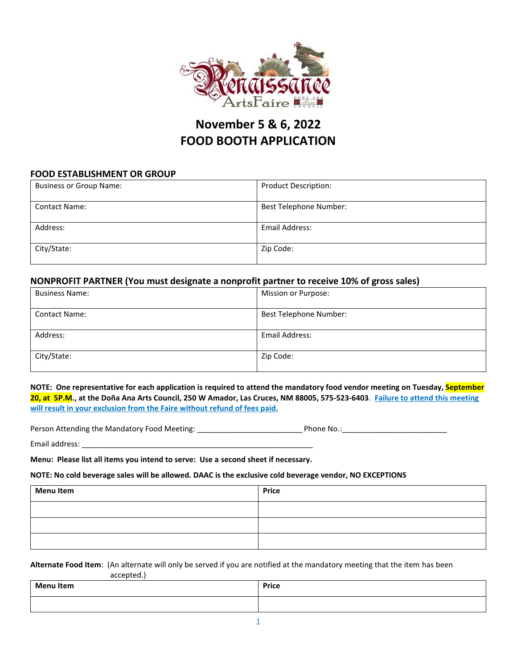

# **November 5 & 6, 2022 FOOD BOOTH APPLICATION**

### **FOOD ESTABLISHMENT OR GROUP**

| <b>Business or Group Name:</b> | <b>Product Description:</b> |
|--------------------------------|-----------------------------|
| <b>Contact Name:</b>           | Best Telephone Number:      |
| Address:                       | Email Address:              |
| City/State:                    | Zip Code:                   |

## **NONPROFIT PARTNER (You must designate a nonprofit partner to receive 10% of gross sales)**

| <b>Business Name:</b> | Mission or Purpose:    |
|-----------------------|------------------------|
| <b>Contact Name:</b>  | Best Telephone Number: |
| Address:              | Email Address:         |
| City/State:           | Zip Code:              |

**NOTE: One representative for each application is required to attend the mandatory food vendor meeting on Tuesday, September 20, at 5P.M., at the Doña Ana Arts Council, 250 W Amador, Las Cruces, NM 88005, 575-523-6403. Failure to attend this meeting will result in your exclusion from the Faire without refund of fees paid.**

Person Attending the Mandatory Food Meeting: \_\_\_\_\_\_\_\_\_\_\_\_\_\_\_\_\_\_\_\_\_\_\_\_\_\_\_\_\_\_\_\_\_\_\_ Phone No.: \_\_\_\_\_\_\_\_\_\_\_\_\_\_\_\_\_\_

Email address:

**Menu: Please list all items you intend to serve: Use a second sheet if necessary.**

#### **NOTE: No cold beverage sales will be allowed. DAAC is the exclusive cold beverage vendor, NO EXCEPTIONS**

| <b>Menu Item</b> | <b>Price</b> |
|------------------|--------------|
|                  |              |
|                  |              |
|                  |              |

**Alternate Food Item**: (An alternate will only be served if you are notified at the mandatory meeting that the item has been accepted.)

| <b>Menu Item</b> | Price |
|------------------|-------|
|                  |       |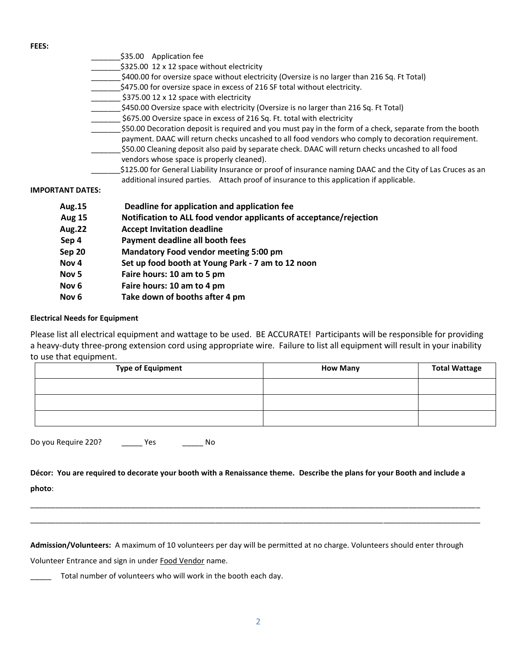**FEES:**

|                         | \$35.00 Application fee                                                                                     |
|-------------------------|-------------------------------------------------------------------------------------------------------------|
|                         | \$325.00 12 x 12 space without electricity                                                                  |
|                         | \$400.00 for oversize space without electricity (Oversize is no larger than 216 Sq. Ft Total)               |
|                         | \$475.00 for oversize space in excess of 216 SF total without electricity.                                  |
|                         | \$375.00 12 x 12 space with electricity                                                                     |
|                         | \$450.00 Oversize space with electricity (Oversize is no larger than 216 Sq. Ft Total)                      |
|                         | \$675.00 Oversize space in excess of 216 Sq. Ft. total with electricity                                     |
|                         | \$50.00 Decoration deposit is required and you must pay in the form of a check, separate from the booth     |
|                         | payment. DAAC will return checks uncashed to all food vendors who comply to decoration requirement.         |
|                         | \$50.00 Cleaning deposit also paid by separate check. DAAC will return checks uncashed to all food          |
|                         | vendors whose space is properly cleaned).                                                                   |
|                         | \$125.00 for General Liability Insurance or proof of insurance naming DAAC and the City of Las Cruces as an |
|                         | additional insured parties. Attach proof of insurance to this application if applicable.                    |
| <b>IMPORTANT DATES:</b> |                                                                                                             |
| <b>Aug.15</b>           | Deadline for application and application fee                                                                |
| <b>Aug 15</b>           | Notification to ALL food vendor applicants of acceptance/rejection                                          |
| <b>Aug.22</b>           | <b>Accept Invitation deadline</b>                                                                           |
| Sep 4                   | Payment deadline all booth fees                                                                             |
| Sep 20                  | <b>Mandatory Food vendor meeting 5:00 pm</b>                                                                |

- **Nov 4 Set up food booth at Young Park - 7 am to 12 noon**
- **Nov 5 Faire hours: 10 am to 5 pm**
- **Nov 6 Faire hours: 10 am to 4 pm**
- **Nov 6 Take down of booths after 4 pm**

#### **Electrical Needs for Equipment**

Please list all electrical equipment and wattage to be used. BE ACCURATE! Participants will be responsible for providing a heavy-duty three-prong extension cord using appropriate wire. Failure to list all equipment will result in your inability to use that equipment.

| <b>Type of Equipment</b> | <b>How Many</b> | <b>Total Wattage</b> |
|--------------------------|-----------------|----------------------|
|                          |                 |                      |
|                          |                 |                      |
|                          |                 |                      |

Do you Require 220? \_\_\_\_\_\_\_ Yes \_\_\_\_\_\_\_\_ No

**Décor: You are required to decorate your booth with a Renaissance theme. Describe the plans for your Booth and include a photo**:

\_\_\_\_\_\_\_\_\_\_\_\_\_\_\_\_\_\_\_\_\_\_\_\_\_\_\_\_\_\_\_\_\_\_\_\_\_\_\_\_\_\_\_\_\_\_\_\_\_\_\_\_\_\_\_\_\_\_\_\_\_\_\_\_\_\_\_\_\_\_\_\_\_\_\_\_\_\_\_\_\_\_\_\_\_\_\_\_\_\_\_\_\_\_\_\_\_\_\_\_\_\_\_\_\_\_\_ \_\_\_\_\_\_\_\_\_\_\_\_\_\_\_\_\_\_\_\_\_\_\_\_\_\_\_\_\_\_\_\_\_\_\_\_\_\_\_\_\_\_\_\_\_\_\_\_\_\_\_\_\_\_\_\_\_\_\_\_\_\_\_\_\_\_\_\_\_\_\_\_\_\_\_\_\_\_\_\_\_\_\_\_\_\_\_\_\_\_\_\_\_\_\_\_\_\_\_\_\_\_\_\_\_\_\_

**Admission/Volunteers:** A maximum of 10 volunteers per day will be permitted at no charge. Volunteers should enter through

Volunteer Entrance and sign in under Food Vendor name.

Total number of volunteers who will work in the booth each day.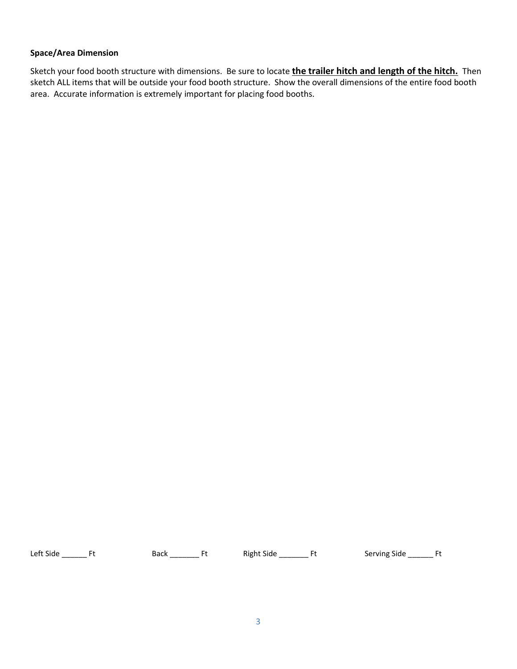### **Space/Area Dimension**

Sketch your food booth structure with dimensions. Be sure to locate **the trailer hitch and length of the hitch.** Then sketch ALL items that will be outside your food booth structure. Show the overall dimensions of the entire food booth area. Accurate information is extremely important for placing food booths.

Left Side \_\_\_\_\_\_\_ Ft Back \_\_\_\_\_\_\_\_ Ft Right Side \_\_\_\_\_\_\_ Ft Serving Side \_\_\_\_\_\_\_ Ft